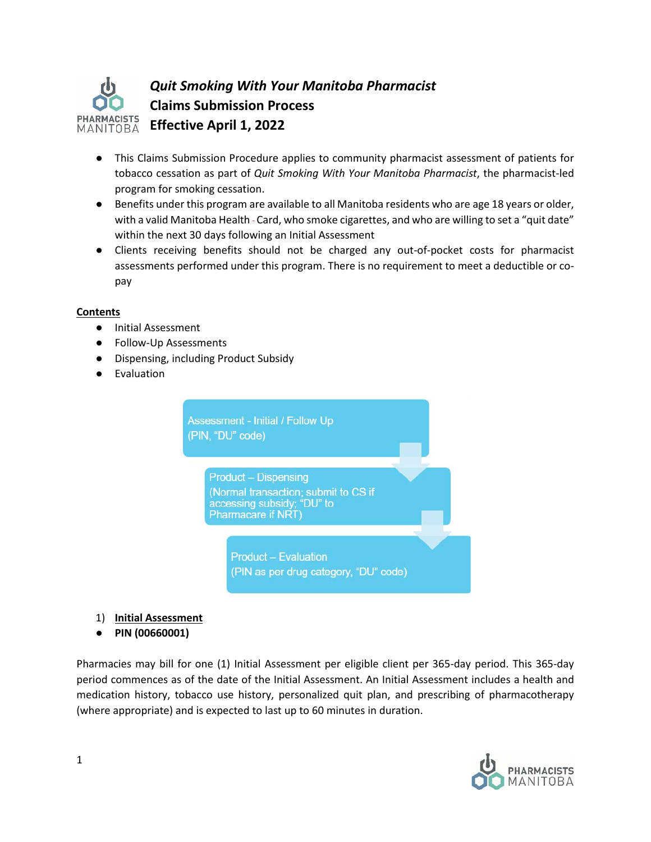

- This Claims Submission Procedure applies to community pharmacist assessment of patients for tobacco cessation as part of *Quit Smoking With Your Manitoba Pharmacist*, the pharmacist-led program for smoking cessation.
- Benefits under this program are available to all Manitoba residents who are age 18 years or older, with a valid Manitoba Health - Card, who smoke cigarettes, and who are willing to set a "quit date" within the next 30 days following an Initial Assessment
- Clients receiving benefits should not be charged any out-of-pocket costs for pharmacist assessments performed under this program. There is no requirement to meet a deductible or copay

### **Contents**

- Initial Assessment
- Follow-Up Assessments
- Dispensing, including Product Subsidy
- Evaluation



- 1) **Initial Assessment**
- **PIN (00660001)**

Pharmacies may bill for one (1) Initial Assessment per eligible client per 365-day period. This 365-day period commences as of the date of the Initial Assessment. An Initial Assessment includes a health and medication history, tobacco use history, personalized quit plan, and prescribing of pharmacotherapy (where appropriate) and is expected to last up to 60 minutes in duration.

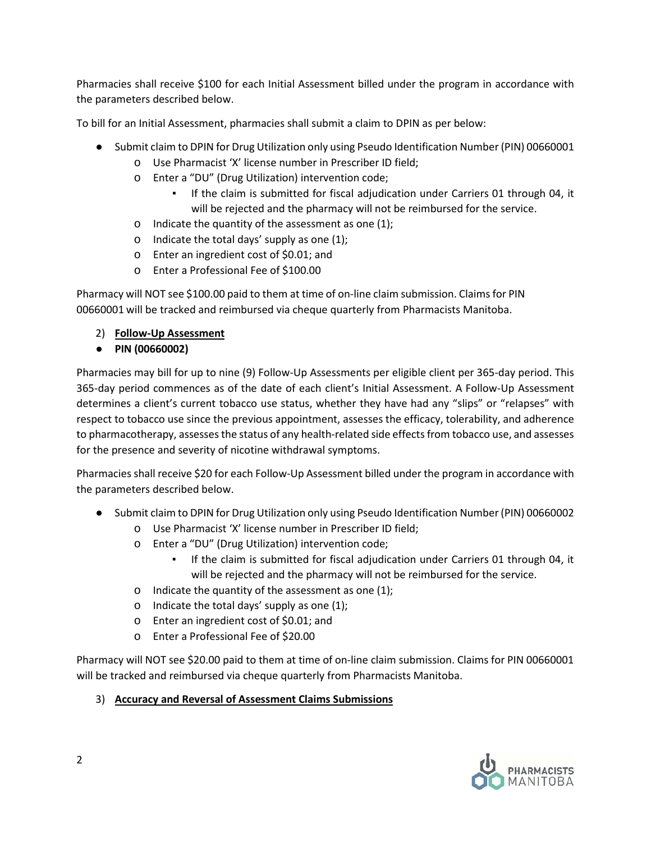Pharmacies shall receive \$100 for each Initial Assessment billed under the program in accordance with the parameters described below.

To bill for an Initial Assessment, pharmacies shall submit a claim to DPIN as per below:

- Submit claim to DPIN for Drug Utilization only using Pseudo Identification Number (PIN) 00660001
	- o Use Pharmacist 'X' license number in Prescriber ID field;
	- o Enter a "DU" (Drug Utilization) intervention code;
		- If the claim is submitted for fiscal adjudication under Carriers 01 through 04, it will be rejected and the pharmacy will not be reimbursed for the service.
	- $\circ$  Indicate the quantity of the assessment as one (1);
	- o Indicate the total days' supply as one (1);
	- o Enter an ingredient cost of \$0.01; and
	- o Enter a Professional Fee of \$100.00

Pharmacy will NOT see \$100.00 paid to them at time of on-line claim submission. Claims for PIN 00660001 will be tracked and reimbursed via cheque quarterly from Pharmacists Manitoba.

- 2) **Follow-Up Assessment**
- **PIN (00660002)**

Pharmacies may bill for up to nine (9) Follow-Up Assessments per eligible client per 365-day period. This 365-day period commences as of the date of each client's Initial Assessment. A Follow-Up Assessment determines a client's current tobacco use status, whether they have had any "slips" or "relapses" with respect to tobacco use since the previous appointment, assesses the efficacy, tolerability, and adherence to pharmacotherapy, assesses the status of any health-related side effects from tobacco use, and assesses for the presence and severity of nicotine withdrawal symptoms.

Pharmacies shall receive \$20 for each Follow-Up Assessment billed under the program in accordance with the parameters described below.

- Submit claim to DPIN for Drug Utilization only using Pseudo Identification Number (PIN) 00660002
	- o Use Pharmacist 'X' license number in Prescriber ID field;
	- o Enter a "DU" (Drug Utilization) intervention code;
		- If the claim is submitted for fiscal adjudication under Carriers 01 through 04, it will be rejected and the pharmacy will not be reimbursed for the service.
	- o Indicate the quantity of the assessment as one (1);
	- $\circ$  Indicate the total days' supply as one (1);
	- o Enter an ingredient cost of \$0.01; and
	- o Enter a Professional Fee of \$20.00

Pharmacy will NOT see \$20.00 paid to them at time of on-line claim submission. Claims for PIN 00660001 will be tracked and reimbursed via cheque quarterly from Pharmacists Manitoba.

## 3) **Accuracy and Reversal of Assessment Claims Submissions**

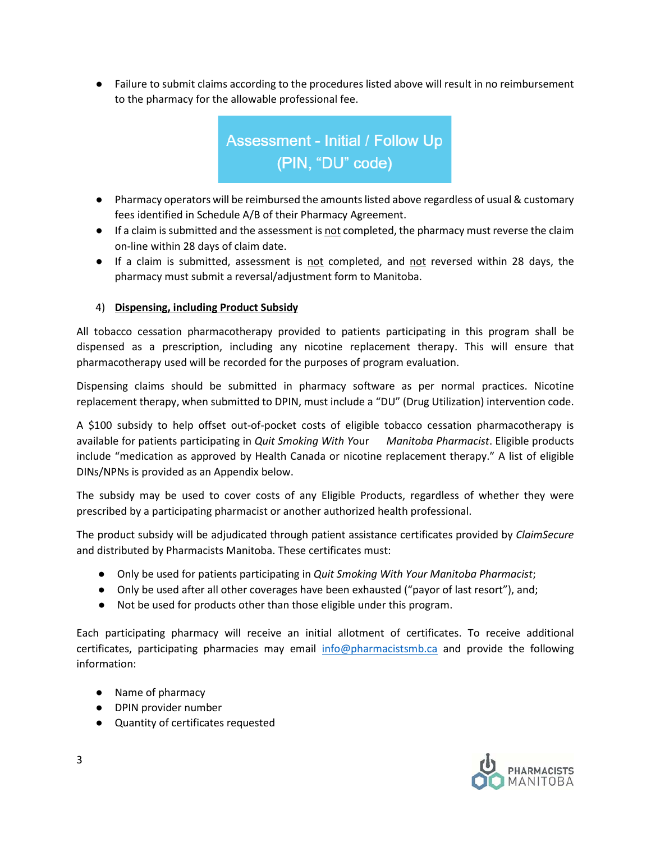● Failure to submit claims according to the procedures listed above will result in no reimbursement to the pharmacy for the allowable professional fee.



- Pharmacy operators will be reimbursed the amounts listed above regardless of usual & customary fees identified in Schedule A/B of their Pharmacy Agreement.
- If a claim is submitted and the assessment is not completed, the pharmacy must reverse the claim on-line within 28 days of claim date.
- If a claim is submitted, assessment is not completed, and not reversed within 28 days, the pharmacy must submit a reversal/adjustment form to Manitoba.

## 4) **Dispensing, including Product Subsidy**

All tobacco cessation pharmacotherapy provided to patients participating in this program shall be dispensed as a prescription, including any nicotine replacement therapy. This will ensure that pharmacotherapy used will be recorded for the purposes of program evaluation.

Dispensing claims should be submitted in pharmacy software as per normal practices. Nicotine replacement therapy, when submitted to DPIN, must include a "DU" (Drug Utilization) intervention code.

A \$100 subsidy to help offset out-of-pocket costs of eligible tobacco cessation pharmacotherapy is available for patients participating in *Quit Smoking With Y*our *Manitoba Pharmacist*. Eligible products include "medication as approved by Health Canada or nicotine replacement therapy." A list of eligible DINs/NPNs is provided as an Appendix below.

The subsidy may be used to cover costs of any Eligible Products, regardless of whether they were prescribed by a participating pharmacist or another authorized health professional.

The product subsidy will be adjudicated through patient assistance certificates provided by *ClaimSecure*  and distributed by Pharmacists Manitoba. These certificates must:

- Only be used for patients participating in *Quit Smoking With Your Manitoba Pharmacist*;
- Only be used after all other coverages have been exhausted ("payor of last resort"), and;
- Not be used for products other than those eligible under this program.

Each participating pharmacy will receive an initial allotment of certificates. To receive additional certificates, participating pharmacies may email [info@pharmacistsmb.ca](mailto:info@pharmacistsmb.ca) and provide the following information:

- Name of pharmacy
- DPIN provider number
- Quantity of certificates requested

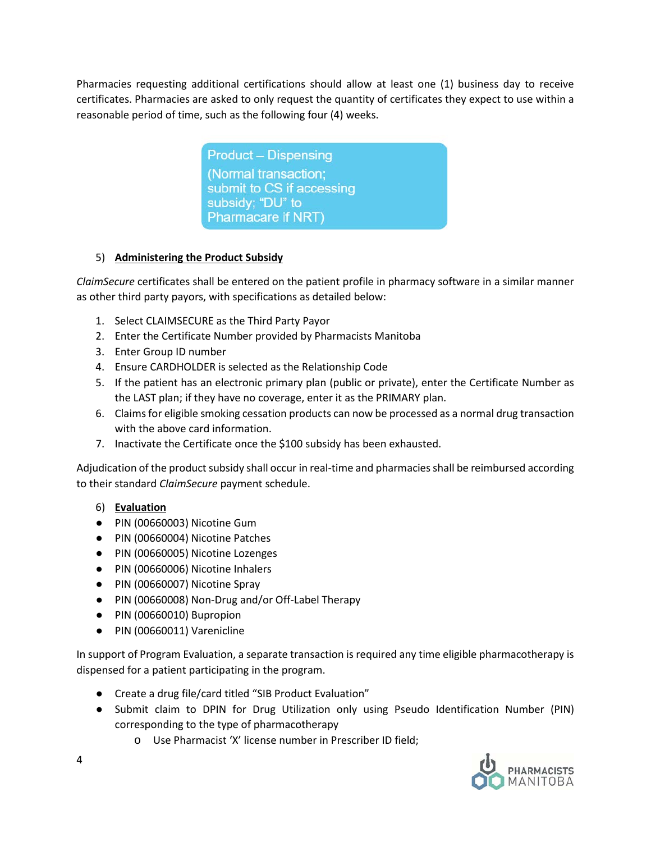Pharmacies requesting additional certifications should allow at least one (1) business day to receive certificates. Pharmacies are asked to only request the quantity of certificates they expect to use within a reasonable period of time, such as the following four (4) weeks.

> **Product - Dispensing** (Normal transaction; submit to CS if accessing subsidy; "DU" to Pharmacare if NRT)

# 5) **Administering the Product Subsidy**

*ClaimSecure* certificates shall be entered on the patient profile in pharmacy software in a similar manner as other third party payors, with specifications as detailed below:

- 1. Select CLAIMSECURE as the Third Party Payor
- 2. Enter the Certificate Number provided by Pharmacists Manitoba
- 3. Enter Group ID number
- 4. Ensure CARDHOLDER is selected as the Relationship Code
- 5. If the patient has an electronic primary plan (public or private), enter the Certificate Number as the LAST plan; if they have no coverage, enter it as the PRIMARY plan.
- 6. Claims for eligible smoking cessation products can now be processed as a normal drug transaction with the above card information.
- 7. Inactivate the Certificate once the \$100 subsidy has been exhausted.

Adjudication of the product subsidy shall occur in real-time and pharmacies shall be reimbursed according to their standard *ClaimSecure* payment schedule.

# 6) **Evaluation**

- PIN (00660003) Nicotine Gum
- PIN (00660004) Nicotine Patches
- PIN (00660005) Nicotine Lozenges
- PIN (00660006) Nicotine Inhalers
- PIN (00660007) Nicotine Spray
- PIN (00660008) Non-Drug and/or Off-Label Therapy
- PIN (00660010) Bupropion
- PIN (00660011) Varenicline

In support of Program Evaluation, a separate transaction is required any time eligible pharmacotherapy is dispensed for a patient participating in the program.

- Create a drug file/card titled "SIB Product Evaluation"
- Submit claim to DPIN for Drug Utilization only using Pseudo Identification Number (PIN) corresponding to the type of pharmacotherapy
	- o Use Pharmacist 'X' license number in Prescriber ID field;

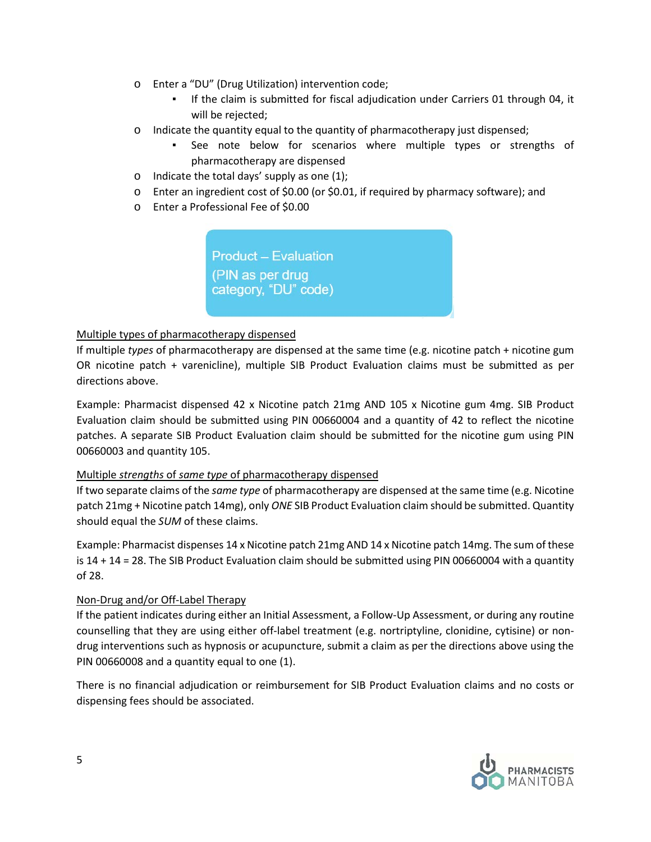- o Enter a "DU" (Drug Utilization) intervention code;
	- If the claim is submitted for fiscal adjudication under Carriers 01 through 04, it will be rejected;
- $\circ$  Indicate the quantity equal to the quantity of pharmacotherapy just dispensed;
	- See note below for scenarios where multiple types or strengths of pharmacotherapy are dispensed
- $\circ$  Indicate the total days' supply as one (1);
- o Enter an ingredient cost of \$0.00 (or \$0.01, if required by pharmacy software); and
- o Enter a Professional Fee of \$0.00

**Product - Evaluation** (PIN as per drug category, "DU" code)

### Multiple types of pharmacotherapy dispensed

If multiple *types* of pharmacotherapy are dispensed at the same time (e.g. nicotine patch + nicotine gum OR nicotine patch + varenicline), multiple SIB Product Evaluation claims must be submitted as per directions above.

Example: Pharmacist dispensed 42 x Nicotine patch 21mg AND 105 x Nicotine gum 4mg. SIB Product Evaluation claim should be submitted using PIN 00660004 and a quantity of 42 to reflect the nicotine patches. A separate SIB Product Evaluation claim should be submitted for the nicotine gum using PIN 00660003 and quantity 105.

#### Multiple *strengths* of *same type* of pharmacotherapy dispensed

If two separate claims of the *same type* of pharmacotherapy are dispensed at the same time (e.g. Nicotine patch 21mg + Nicotine patch 14mg), only *ONE* SIB Product Evaluation claim should be submitted. Quantity should equal the *SUM* of these claims.

Example: Pharmacist dispenses 14 x Nicotine patch 21mg AND 14 x Nicotine patch 14mg. The sum of these is 14 + 14 = 28. The SIB Product Evaluation claim should be submitted using PIN 00660004 with a quantity of 28.

#### Non-Drug and/or Off-Label Therapy

If the patient indicates during either an Initial Assessment, a Follow-Up Assessment, or during any routine counselling that they are using either off-label treatment (e.g. nortriptyline, clonidine, cytisine) or nondrug interventions such as hypnosis or acupuncture, submit a claim as per the directions above using the PIN 00660008 and a quantity equal to one (1).

There is no financial adjudication or reimbursement for SIB Product Evaluation claims and no costs or dispensing fees should be associated.

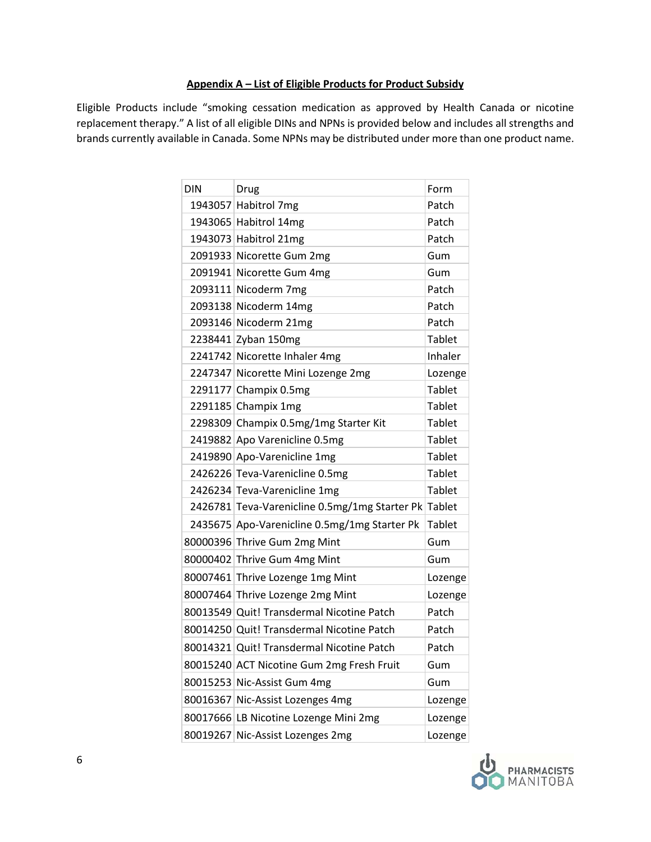### **Appendix A – List of Eligible Products for Product Subsidy**

Eligible Products include "smoking cessation medication as approved by Health Canada or nicotine replacement therapy." A list of all eligible DINs and NPNs is provided below and includes all strengths and brands currently available in Canada. Some NPNs may be distributed under more than one product name.

| <b>DIN</b> | Drug                                                 | Form          |
|------------|------------------------------------------------------|---------------|
|            | 1943057 Habitrol 7mg                                 | Patch         |
|            | 1943065 Habitrol 14mg                                | Patch         |
|            | 1943073 Habitrol 21mg                                | Patch         |
|            | 2091933 Nicorette Gum 2mg                            | Gum           |
|            | 2091941 Nicorette Gum 4mg                            | Gum           |
|            | 2093111 Nicoderm 7mg                                 | Patch         |
|            | 2093138 Nicoderm 14mg                                | Patch         |
|            | 2093146 Nicoderm 21mg                                | Patch         |
|            | 2238441 Zyban 150mg                                  | Tablet        |
|            | 2241742 Nicorette Inhaler 4mg                        | Inhaler       |
|            | 2247347 Nicorette Mini Lozenge 2mg                   | Lozenge       |
|            | 2291177 Champix 0.5mg                                | <b>Tablet</b> |
|            | 2291185 Champix 1mg                                  | Tablet        |
|            | 2298309 Champix 0.5mg/1mg Starter Kit                | <b>Tablet</b> |
|            | 2419882 Apo Varenicline 0.5mg                        | Tablet        |
|            | 2419890 Apo-Varenicline 1mg                          | Tablet        |
|            | 2426226 Teva-Varenicline 0.5mg                       | <b>Tablet</b> |
|            | 2426234 Teva-Varenicline 1mg                         | Tablet        |
|            | 2426781 Teva-Varenicline 0.5mg/1mg Starter Pk Tablet |               |
|            | 2435675 Apo-Varenicline 0.5mg/1mg Starter Pk         | Tablet        |
|            | 80000396 Thrive Gum 2mg Mint                         | Gum           |
|            | 80000402 Thrive Gum 4mg Mint                         | Gum           |
|            | 80007461 Thrive Lozenge 1mg Mint                     | Lozenge       |
|            | 80007464 Thrive Lozenge 2mg Mint                     | Lozenge       |
|            | 80013549 Quit! Transdermal Nicotine Patch            | Patch         |
|            | 80014250 Quit! Transdermal Nicotine Patch            | Patch         |
|            | 80014321 Quit! Transdermal Nicotine Patch            | Patch         |
|            | 80015240 ACT Nicotine Gum 2mg Fresh Fruit            | Gum           |
|            | 80015253 Nic-Assist Gum 4mg                          | Gum           |
| 80016367   | Nic-Assist Lozenges 4mg                              | Lozenge       |
|            | 80017666 LB Nicotine Lozenge Mini 2mg                | Lozenge       |
| 80019267   | Nic-Assist Lozenges 2mg                              | Lozenge       |